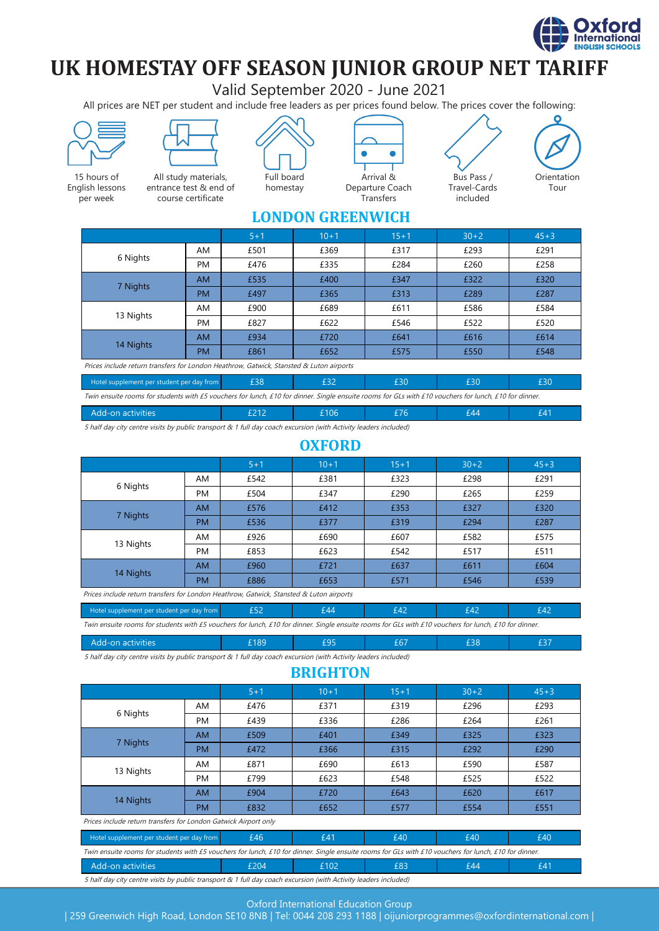

# **UK HOMESTAY OFF SEASON JUNIOR GROUP NET TARIFF**

Valid September 2020 - June 2021

All prices are NET per student and include free leaders as per prices found below. The prices cover the following:



5 half day city centre visits by public transport & 1 full day coach excursion (with Activity leaders included)

#### **OXFORD**

|           |           | $5 + 1$ | $10 + 1$ | $15 + 1$ | $30+2$ | $45 + 3$ |
|-----------|-----------|---------|----------|----------|--------|----------|
| 6 Nights  | AM        | £542    | £381     | £323     | £298   | £291     |
|           | <b>PM</b> | £504    | £347     | £290     | £265   | £259     |
| 7 Nights  | <b>AM</b> | £576    | £412     | £353     | £327   | £320     |
|           | <b>PM</b> | £536    | £377     | £319     | £294   | £287     |
| 13 Nights | AM        | £926    | £690     | £607     | £582   | £575     |
|           | <b>PM</b> | £853    | £623     | £542     | £517   | £511     |
| 14 Nights | <b>AM</b> | £960    | £721     | £637     | £611   | £604     |
|           | <b>PM</b> | £886    | £653     | £571     | £546   | £539     |

Prices include return transfers for London Heathrow, Gatwick, Stansted & Luton airports

| Hotel supplement per student per day from                                                                                                             |  |  |  |  |  |  |
|-------------------------------------------------------------------------------------------------------------------------------------------------------|--|--|--|--|--|--|
| Twin ensuite rooms for students with £5 vouchers for lunch, £10 for dinner. Single ensuite rooms for GLs with £10 vouchers for lunch, £10 for dinner. |  |  |  |  |  |  |

| Add-on activities | £189 |   | $\sim$ $\sim$ $-$ | эс |  |
|-------------------|------|---|-------------------|----|--|
| $-1$<br>$\cdots$  | .    | . |                   |    |  |

5 half day city centre visits by public transport & 1 full day coach excursion (with Activity leaders included)

#### **BRIGHTON**

|                                                                                                                                                       |           | $5 + 1$ | $10 + 1$ | $15 + 1$ | $30+2$ | $45 + 3$ |  |
|-------------------------------------------------------------------------------------------------------------------------------------------------------|-----------|---------|----------|----------|--------|----------|--|
| 6 Nights                                                                                                                                              | AM        | £476    | £371     | £319     | £296   | £293     |  |
|                                                                                                                                                       | PM        | £439    | £336     | £286     | £264   | £261     |  |
| 7 Nights                                                                                                                                              | AM.       | £509    | £401     | £349     | £325   | £323     |  |
|                                                                                                                                                       | <b>PM</b> | £472    | £366     | £315     | £292   | £290     |  |
| 13 Nights                                                                                                                                             | AM        | £871    | £690     | £613     | £590   | £587     |  |
|                                                                                                                                                       | PM        | £799    | £623     | £548     | £525   | £522     |  |
| 14 Nights                                                                                                                                             | <b>AM</b> | £904    | £720     | £643     | £620   | £617     |  |
|                                                                                                                                                       | PM        | £832    | £652     | £577     | £554   | £551     |  |
| Prices include return transfers for London Gatwick Airport only                                                                                       |           |         |          |          |        |          |  |
| £46<br>Hotel supplement per student per day from                                                                                                      |           |         | £41      | £40      | £40    | £40      |  |
| Twin ensuite rooms for students with £5 vouchers for lunch, £10 for dinner. Single ensuite rooms for GLs with £10 vouchers for lunch, £10 for dinner. |           |         |          |          |        |          |  |
| Add-on activities                                                                                                                                     |           | £204    | £102     | £83      | £44    | £41      |  |

5 half day city centre visits by public transport & 1 full day coach excursion (with Activity leaders included)

#### Oxford International Education Group

| 259 Greenwich High Road, London SE10 8NB | Tel: 0044 208 293 1188 | oijuniorprogrammes@oxfordinternational.com |